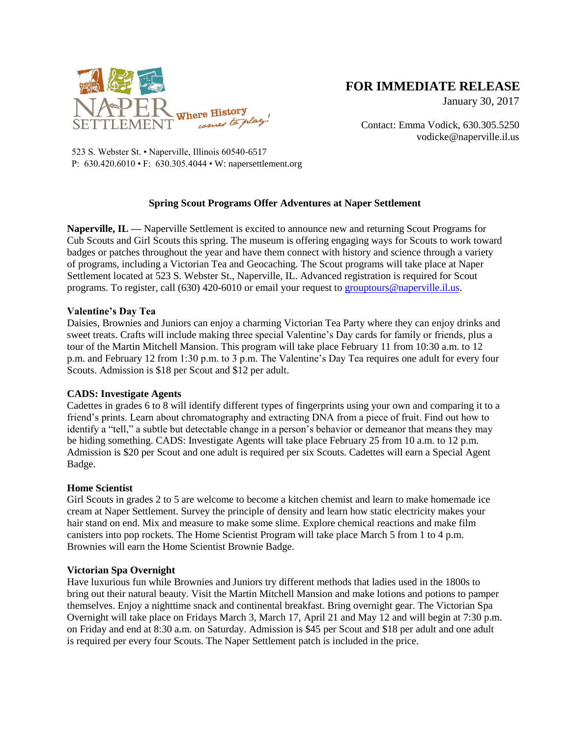

# **FOR IMMEDIATE RELEASE**

January 30, 2017

Contact: Emma Vodick, 630.305.5250 vodicke@naperville.il.us

523 S. Webster St. • Naperville, Illinois 60540-6517 P: 630.420.6010 • F: 630.305.4044 • W: napersettlement.org

# **Spring Scout Programs Offer Adventures at Naper Settlement**

**Naperville, IL —** Naperville Settlement is excited to announce new and returning Scout Programs for Cub Scouts and Girl Scouts this spring. The museum is offering engaging ways for Scouts to work toward badges or patches throughout the year and have them connect with history and science through a variety of programs, including a Victorian Tea and Geocaching. The Scout programs will take place at Naper Settlement located at 523 S. Webster St., Naperville, IL. Advanced registration is required for Scout programs. To register, call (630) 420-6010 or email your request to [grouptours@naperville.il.us.](mailto:grouptours@naperville.il.us)

# **Valentine's Day Tea**

Daisies, Brownies and Juniors can enjoy a charming Victorian Tea Party where they can enjoy drinks and sweet treats. Crafts will include making three special Valentine's Day cards for family or friends, plus a tour of the Martin Mitchell Mansion. This program will take place February 11 from 10:30 a.m. to 12 p.m. and February 12 from 1:30 p.m. to 3 p.m. The Valentine's Day Tea requires one adult for every four Scouts. Admission is \$18 per Scout and \$12 per adult.

# **CADS: Investigate Agents**

Cadettes in grades 6 to 8 will identify different types of fingerprints using your own and comparing it to a friend's prints. Learn about chromatography and extracting DNA from a piece of fruit. Find out how to identify a "tell," a subtle but detectable change in a person's behavior or demeanor that means they may be hiding something. CADS: Investigate Agents will take place February 25 from 10 a.m. to 12 p.m. Admission is \$20 per Scout and one adult is required per six Scouts. Cadettes will earn a Special Agent Badge.

# **Home Scientist**

Girl Scouts in grades 2 to 5 are welcome to become a kitchen chemist and learn to make homemade ice cream at Naper Settlement. Survey the principle of density and learn how static electricity makes your hair stand on end. Mix and measure to make some slime. Explore chemical reactions and make film canisters into pop rockets. The Home Scientist Program will take place March 5 from 1 to 4 p.m. Brownies will earn the Home Scientist Brownie Badge.

# **Victorian Spa Overnight**

Have luxurious fun while Brownies and Juniors try different methods that ladies used in the 1800s to bring out their natural beauty. Visit the Martin Mitchell Mansion and make lotions and potions to pamper themselves. Enjoy a nighttime snack and continental breakfast. Bring overnight gear. The Victorian Spa Overnight will take place on Fridays March 3, March 17, April 21 and May 12 and will begin at 7:30 p.m. on Friday and end at 8:30 a.m. on Saturday. Admission is \$45 per Scout and \$18 per adult and one adult is required per every four Scouts. The Naper Settlement patch is included in the price.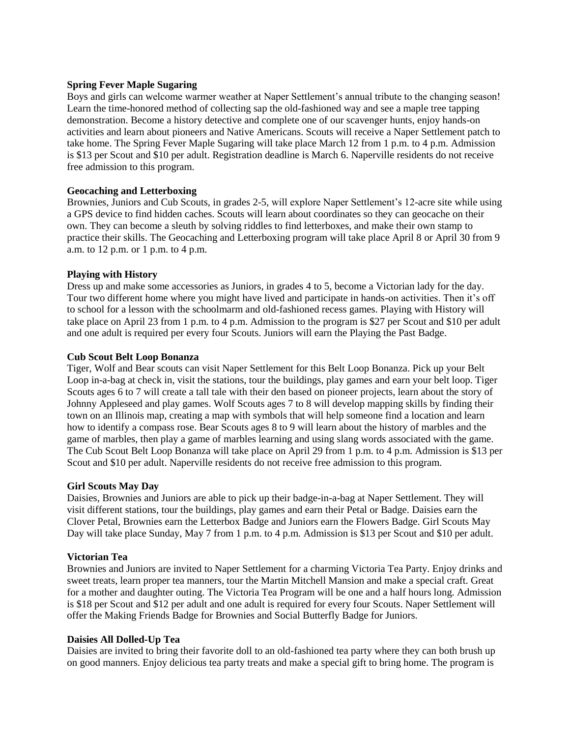# **Spring Fever Maple Sugaring**

Boys and girls can welcome warmer weather at Naper Settlement's annual tribute to the changing season! Learn the time-honored method of collecting sap the old-fashioned way and see a maple tree tapping demonstration. Become a history detective and complete one of our scavenger hunts, enjoy hands-on activities and learn about pioneers and Native Americans. Scouts will receive a Naper Settlement patch to take home. The Spring Fever Maple Sugaring will take place March 12 from 1 p.m. to 4 p.m. Admission is \$13 per Scout and \$10 per adult. Registration deadline is March 6. Naperville residents do not receive free admission to this program.

#### **Geocaching and Letterboxing**

Brownies, Juniors and Cub Scouts, in grades 2-5, will explore Naper Settlement's 12-acre site while using a GPS device to find hidden caches. Scouts will learn about coordinates so they can geocache on their own. They can become a sleuth by solving riddles to find letterboxes, and make their own stamp to practice their skills. The Geocaching and Letterboxing program will take place April 8 or April 30 from 9 a.m. to 12 p.m. or 1 p.m. to 4 p.m.

#### **Playing with History**

Dress up and make some accessories as Juniors, in grades 4 to 5, become a Victorian lady for the day. Tour two different home where you might have lived and participate in hands-on activities. Then it's off to school for a lesson with the schoolmarm and old-fashioned recess games. Playing with History will take place on April 23 from 1 p.m. to 4 p.m. Admission to the program is \$27 per Scout and \$10 per adult and one adult is required per every four Scouts. Juniors will earn the Playing the Past Badge.

#### **Cub Scout Belt Loop Bonanza**

Tiger, Wolf and Bear scouts can visit Naper Settlement for this Belt Loop Bonanza. Pick up your Belt Loop in-a-bag at check in, visit the stations, tour the buildings, play games and earn your belt loop. Tiger Scouts ages 6 to 7 will create a tall tale with their den based on pioneer projects, learn about the story of Johnny Appleseed and play games. Wolf Scouts ages 7 to 8 will develop mapping skills by finding their town on an Illinois map, creating a map with symbols that will help someone find a location and learn how to identify a compass rose. Bear Scouts ages 8 to 9 will learn about the history of marbles and the game of marbles, then play a game of marbles learning and using slang words associated with the game. The Cub Scout Belt Loop Bonanza will take place on April 29 from 1 p.m. to 4 p.m. Admission is \$13 per Scout and \$10 per adult. Naperville residents do not receive free admission to this program.

#### **Girl Scouts May Day**

Daisies, Brownies and Juniors are able to pick up their badge-in-a-bag at Naper Settlement. They will visit different stations, tour the buildings, play games and earn their Petal or Badge. Daisies earn the Clover Petal, Brownies earn the Letterbox Badge and Juniors earn the Flowers Badge. Girl Scouts May Day will take place Sunday, May 7 from 1 p.m. to 4 p.m. Admission is \$13 per Scout and \$10 per adult.

#### **Victorian Tea**

Brownies and Juniors are invited to Naper Settlement for a charming Victoria Tea Party. Enjoy drinks and sweet treats, learn proper tea manners, tour the Martin Mitchell Mansion and make a special craft. Great for a mother and daughter outing. The Victoria Tea Program will be one and a half hours long. Admission is \$18 per Scout and \$12 per adult and one adult is required for every four Scouts. Naper Settlement will offer the Making Friends Badge for Brownies and Social Butterfly Badge for Juniors.

#### **Daisies All Dolled-Up Tea**

Daisies are invited to bring their favorite doll to an old-fashioned tea party where they can both brush up on good manners. Enjoy delicious tea party treats and make a special gift to bring home. The program is